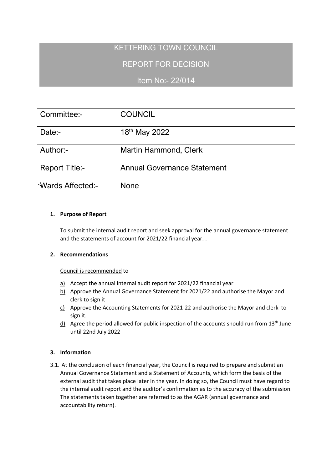# KETTERING TOWN COUNCIL

# REPORT FOR DECISION

Item No:- 22/014

| Committee:-           | <b>COUNCIL</b>                     |
|-----------------------|------------------------------------|
| Date:-                | 18 <sup>th</sup> May 2022          |
| Author:-              | <b>Martin Hammond, Clerk</b>       |
| <b>Report Title:-</b> | <b>Annual Governance Statement</b> |
| Wards Affected:-      | <b>None</b>                        |

# **1. Purpose of Report**

To submit the internal audit report and seek approval for the annual governance statement and the statements of account for 2021/22 financial year. .

# **2. Recommendations**

### Council is recommended to

- a) Accept the annual internal audit report for 2021/22 financial year
- b) Approve the Annual Governance Statement for 2021/22 and authorise the Mayor and clerk to sign it
- c) Approve the Accounting Statements for 2021-22 and authorise the Mayor and clerk to sign it.
- $\underline{d}$  Agree the period allowed for public inspection of the accounts should run from 13<sup>th</sup> June until 22nd July 2022

# **3. Information**

3.1. At the conclusion of each financial year, the Council is required to prepare and submit an Annual Governance Statement and a Statement of Accounts, which form the basis of the external audit that takes place later in the year. In doing so, the Council must have regard to the internal audit report and the auditor's confirmation as to the accuracy of the submission. The statements taken together are referred to as the AGAR (annual governance and accountability return).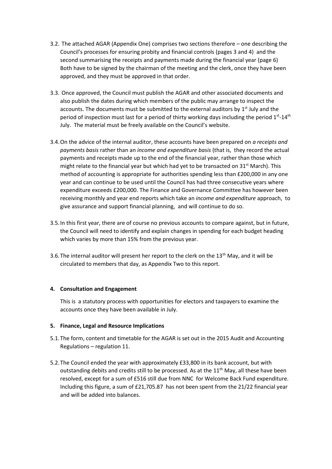- 3.2. The attached AGAR (Appendix One) comprises two sections therefore one describing the Council's processes for ensuring probity and financial controls (pages 3 and 4) and the second summarising the receipts and payments made during the financial year (page 6) Both have to be signed by the chairman of the meeting and the clerk, once they have been approved, and they must be approved in that order.
- 3.3. Once approved, the Council must publish the AGAR and other associated documents and also publish the dates during which members of the public may arrange to inspect the accounts. The documents must be submitted to the external auditors by 1<sup>st</sup> July and the period of inspection must last for a period of thirty working days including the period  $1^{st}$ -14<sup>th</sup> July. The material must be freely available on the Council's website.
- 3.4.On the advice of the internal auditor, these accounts have been prepared on *a receipts and payments basis* rather than an *income and expenditure basis* (that is, they record the actual payments and receipts made up to the end of the financial year, rather than those which might relate to the financial year but which had yet to be transacted on  $31^{st}$  March). This method of accounting is appropriate for authorities spending less than £200,000 in any one year and can continue to be used until the Council has had three consecutive years where expenditure exceeds £200,000. The Finance and Governance Committee has however been receiving monthly and year end reports which take an *income and expenditure* approach, to give assurance and support financial planning, and will continue to do so.
- 3.5.In this first year, there are of course no previous accounts to compare against, but in future, the Council will need to identify and explain changes in spending for each budget heading which varies by more than 15% from the previous year.
- 3.6. The internal auditor will present her report to the clerk on the  $13<sup>th</sup>$  May, and it will be circulated to members that day, as Appendix Two to this report.

#### **4. Consultation and Engagement**

This is a statutory process with opportunities for electors and taxpayers to examine the accounts once they have been available in July.

#### **5. Finance, Legal and Resource Implications**

- 5.1.The form, content and timetable for the AGAR is set out in the 2015 Audit and Accounting Regulations – regulation 11.
- 5.2.The Council ended the year with approximately £33,800 in its bank account, but with outstanding debits and credits still to be processed. As at the  $11<sup>th</sup>$  May, all these have been resolved, except for a sum of £516 still due from NNC for Welcome Back Fund expenditure. Including this figure, a sum of £21,705.87 has not been spent from the 21/22 financial year and will be added into balances.